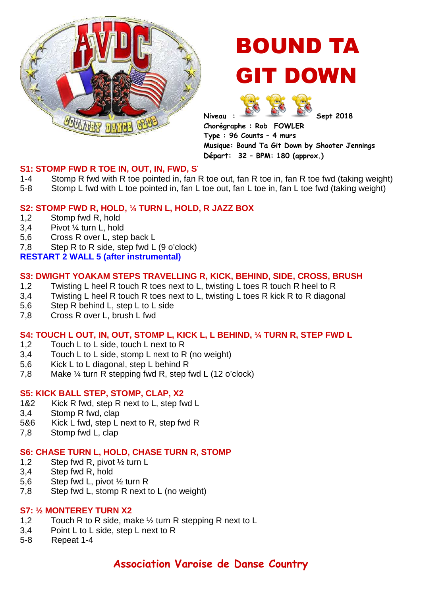

# BOUND TA GIT DOWN

Niveau :  $\frac{1000}{200}$  Sept 2018

**Chorégraphe : Rob FOWLER Type : 96 Counts – 4 murs Musique: Bound Ta Git Down by Shooter Jennings Départ: 32 – BPM: 180 (approx.)**

# **S1: STOMP FWD R TOE IN, OUT, IN, FWD, ST**

- 1-4 Stomp R fwd with R toe pointed in, fan R toe out, fan R toe in, fan R toe fwd (taking weight)
- 5-8 Stomp L fwd with L toe pointed in, fan L toe out, fan L toe in, fan L toe fwd (taking weight)

# **S2: STOMP FWD R, HOLD, ¼ TURN L, HOLD, R JAZZ BOX**

- 1,2 Stomp fwd R, hold
- 3,4 Pivot ¼ turn L, hold
- 5,6 Cross R over L, step back L
- 7,8 Step R to R side, step fwd L (9 o'clock)

# **RESTART 2 WALL 5 (after instrumental)**

# **S3: DWIGHT YOAKAM STEPS TRAVELLING R, KICK, BEHIND, SIDE, CROSS, BRUSH**

- 1,2 Twisting L heel R touch R toes next to L, twisting L toes R touch R heel to R
- 3,4 Twisting L heel R touch R toes next to L, twisting L toes R kick R to R diagonal
- 5,6 Step R behind L, step L to L side
- 7,8 Cross R over L, brush L fwd

# **S4: TOUCH L OUT, IN, OUT, STOMP L, KICK L, L BEHIND, ¼ TURN R, STEP FWD L**

- 1,2 Touch L to L side, touch L next to R
- 3,4 Touch L to L side, stomp L next to R (no weight)
- 5,6 Kick L to L diagonal, step L behind R
- 7,8 Make ¼ turn R stepping fwd R, step fwd L (12 o'clock)

# **S5: KICK BALL STEP, STOMP, CLAP, X2**

- 1&2 Kick R fwd, step R next to L, step fwd L
- 3,4 Stomp R fwd, clap
- 5&6 Kick L fwd, step L next to R, step fwd R
- 7,8 Stomp fwd L, clap

#### **S6: CHASE TURN L, HOLD, CHASE TURN R, STOMP**

- 1,2 Step fwd R, pivot ½ turn L
- 3,4 Step fwd R, hold
- 5,6 Step fwd L, pivot ½ turn R
- 7,8 Step fwd L, stomp R next to L (no weight)

#### **S7: ½ MONTEREY TURN X2**

- 1,2 Touch R to R side, make ½ turn R stepping R next to L
- 3,4 Point L to L side, step L next to R
- 5-8 Repeat 1-4

# **Association Varoise de Danse Country**